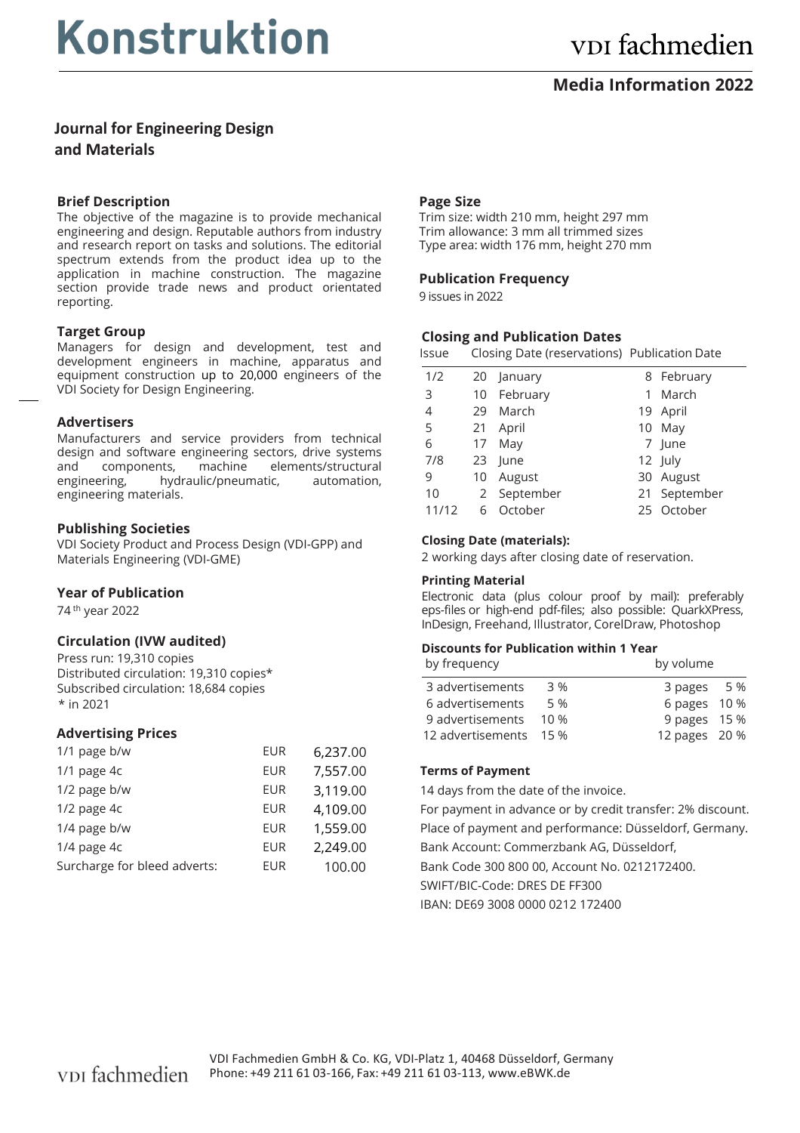# **Media Information 2022**

**Journal for Engineering Design and Materials**

# **Brief Description**

The objective of the magazine is to provide mechanical engineering and design. Reputable authors from industry and research report on tasks and solutions. The editorial spectrum extends from the product idea up to the application in machine construction. The magazine section provide trade news and product orientated reporting.

# **Target Group**

Managers for design and development, test and development engineers in machine, apparatus and equipment construction up to 20,000 engineers of the VDI Society for Design Engineering.

# **Advertisers**

Manufacturers and service providers from technical design and software engineering sectors, drive systems and components, machine elements/structural engineering, hydraulic/pneumatic, automation, engineering materials.

# **Publishing Societies**

VDI Society Product and Process Design (VDIGPP) and Materials Engineering (VDI-GME)

#### **Year of Publication**

74 th year 2022

# **Circulation (IVW audited)**

Press run: 19,310 copies Distributed circulation: 19,310 copies \* Subscribed circulation: 18,684 copies \* in 2021

#### **Advertising Prices**

| 1/1 page b/w                 | <b>EUR</b> | 6,237.00 |
|------------------------------|------------|----------|
| 1/1 page 4c                  | <b>EUR</b> | 7,557.00 |
| 1/2 page b/w                 | EUR        | 3,119.00 |
| 1/2 page 4c                  | EUR        | 4,109.00 |
| 1/4 page b/w                 | <b>EUR</b> | 1,559.00 |
| 1/4 page 4c                  | <b>EUR</b> | 2,249.00 |
| Surcharge for bleed adverts: | <b>EUR</b> | 100.00   |
|                              |            |          |

# **Page Size**

Trim size: width 210 mm, height 297 mm Trim allowance: 3 mm all trimmed sizes Type area: width 176 mm, height 270 mm

# **Publication Frequency**

9 issues in 2022

# **Closing and Publication Dates**

| Issue | Closing Date (reservations) Publication Date |  |
|-------|----------------------------------------------|--|
|-------|----------------------------------------------|--|

| 1/2   |    | 20 January  |   | 8 February   |
|-------|----|-------------|---|--------------|
| 3     |    | 10 February | 1 | March        |
| 4     | 29 | March       |   | 19 April     |
| 5     |    | 21 April    |   | 10 May       |
| 6     |    | 17 May      |   | 7 June       |
| 7/8   |    | 23 June     |   | 12 July      |
| 9     | 10 | August      |   | 30 August    |
| 10    |    | 2 September |   | 21 September |
| 11/12 |    | 6 October   |   | 25 October   |
|       |    |             |   |              |

#### **Closing Date (materials):**

2 working days after closing date of reservation.

#### **Printing Material**

Electronic data (plus colour proof by mail): preferably eps-files or high-end pdf-files; also possible: QuarkXPress, InDesign, Freehand, Illustrator, CorelDraw, Photoshop

#### **Discounts for Publication within 1 Year**

| by frequency           |      | by volume     |
|------------------------|------|---------------|
| 3 advertisements       | 3 %  | 3 pages 5 %   |
| 6 advertisements       | 5 %  | 6 pages 10 %  |
| 9 advertisements       | 10 % | 9 pages 15 %  |
| 12 advertisements 15 % |      | 12 pages 20 % |

#### **Terms of Payment**

14 days from the date of the invoice.

For payment in advance or by credit transfer: 2% discount. Place of payment and performance: Düsseldorf, Germany. Bank Account: Commerzbank AG, Düsseldorf, Bank Code 300 800 00, Account No. 0212172400. SWIFT/BIC-Code: DRES DE FE300 IBAN: DE69 3008 0000 0212 172400